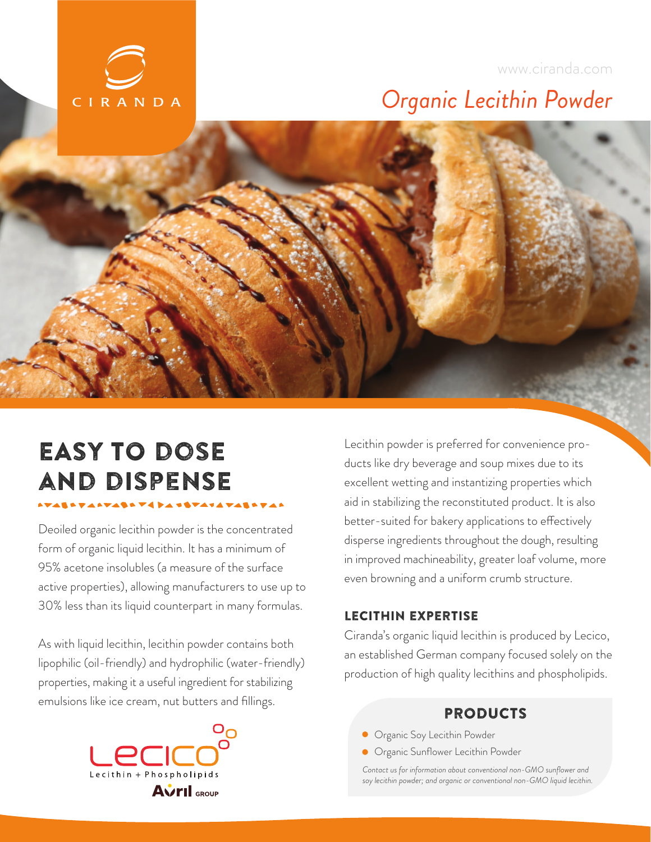

### www.ciranda.com

## *Organic Lecithin Powder*

# EASY TO DOSE and dispeNSE

Deoiled organic lecithin powder is the concentrated form of organic liquid lecithin. It has a minimum of 95% acetone insolubles (a measure of the surface active properties), allowing manufacturers to use up to 30% less than its liquid counterpart in many formulas.

As with liquid lecithin, lecithin powder contains both lipophilic (oil-friendly) and hydrophilic (water-friendly) properties, making it a useful ingredient for stabilizing emulsions like ice cream, nut butters and fillings.



Lecithin powder is preferred for convenience products like dry beverage and soup mixes due to its excellent wetting and instantizing properties which aid in stabilizing the reconstituted product. It is also better-suited for bakery applications to effectively disperse ingredients throughout the dough, resulting in improved machineability, greater loaf volume, more even browning and a uniform crumb structure.

#### LECITHIN EXPERTISE

Ciranda's organic liquid lecithin is produced by Lecico, an established German company focused solely on the production of high quality lecithins and phospholipids.

### PRODUCTS

- **•** Organic Soy Lecithin Powder
- **Organic Sunflower Lecithin Powder**

Contact us for information about conventional non-GMO sunflower and *soy lecithin powder; and organic or conventional non-GMO liquid lecithin.*